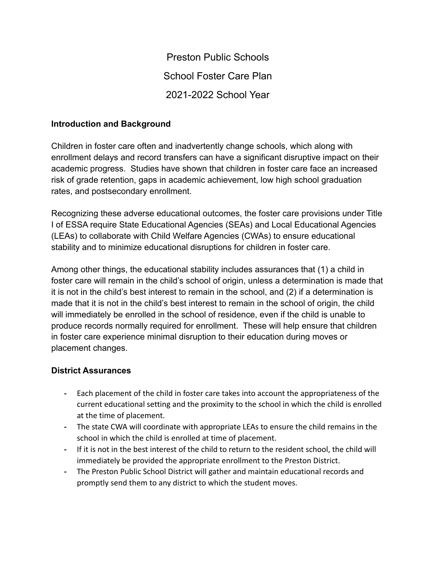Preston Public Schools School Foster Care Plan 2021-2022 School Year

## **Introduction and Background**

Children in foster care often and inadvertently change schools, which along with enrollment delays and record transfers can have a significant disruptive impact on their academic progress. Studies have shown that children in foster care face an increased risk of grade retention, gaps in academic achievement, low high school graduation rates, and postsecondary enrollment.

Recognizing these adverse educational outcomes, the foster care provisions under Title I of ESSA require State Educational Agencies (SEAs) and Local Educational Agencies (LEAs) to collaborate with Child Welfare Agencies (CWAs) to ensure educational stability and to minimize educational disruptions for children in foster care.

Among other things, the educational stability includes assurances that (1) a child in foster care will remain in the child's school of origin, unless a determination is made that it is not in the child's best interest to remain in the school, and (2) if a determination is made that it is not in the child's best interest to remain in the school of origin, the child will immediately be enrolled in the school of residence, even if the child is unable to produce records normally required for enrollment. These will help ensure that children in foster care experience minimal disruption to their education during moves or placement changes.

#### **District Assurances**

- **-** Each placement of the child in foster care takes into account the appropriateness of the current educational setting and the proximity to the school in which the child is enrolled at the time of placement.
- **-** The state CWA will coordinate with appropriate LEAs to ensure the child remains in the school in which the child is enrolled at time of placement.
- **-** If it is not in the best interest of the child to return to the resident school, the child will immediately be provided the appropriate enrollment to the Preston District.
- **-** The Preston Public School District will gather and maintain educational records and promptly send them to any district to which the student moves.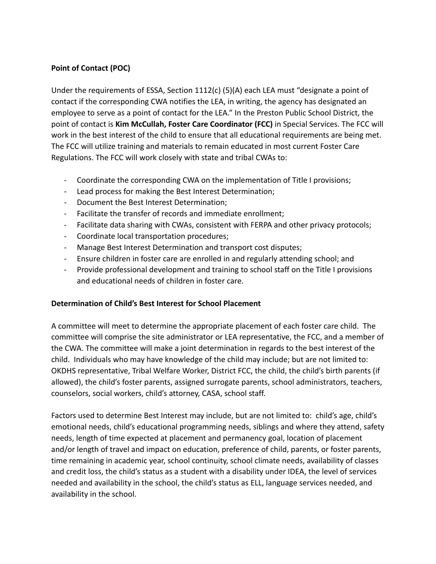## **Point of Contact (POC)**

Under the requirements of ESSA, Section 1112(c) (5)(A) each LEA must "designate a point of contact if the corresponding CWA notifies the LEA, in writing, the agency has designated an employee to serve as a point of contact for the LEA." In the Preston Public School District, the point of contact is **Kim McCullah, Foster Care Coordinator (FCC)** in Special Services. The FCC will work in the best interest of the child to ensure that all educational requirements are being met. The FCC will utilize training and materials to remain educated in most current Foster Care Regulations. The FCC will work closely with state and tribal CWAs to:

- Coordinate the corresponding CWA on the implementation of Title I provisions;
- Lead process for making the Best Interest Determination;
- Document the Best Interest Determination;
- Facilitate the transfer of records and immediate enrollment;
- Facilitate data sharing with CWAs, consistent with FERPA and other privacy protocols;
- Coordinate local transportation procedures;
- Manage Best Interest Determination and transport cost disputes;
- Ensure children in foster care are enrolled in and regularly attending school; and
- Provide professional development and training to school staff on the Title I provisions and educational needs of children in foster care.

#### **Determination of Child's Best Interest for School Placement**

A committee will meet to determine the appropriate placement of each foster care child. The committee will comprise the site administrator or LEA representative, the FCC, and a member of the CWA. The committee will make a joint determination in regards to the best interest of the child. Individuals who may have knowledge of the child may include; but are not limited to: OKDHS representative, Tribal Welfare Worker, District FCC, the child, the child's birth parents (if allowed), the child's foster parents, assigned surrogate parents, school administrators, teachers, counselors, social workers, child's attorney, CASA, school staff.

Factors used to determine Best Interest may include, but are not limited to: child's age, child's emotional needs, child's educational programming needs, siblings and where they attend, safety needs, length of time expected at placement and permanency goal, location of placement and/or length of travel and impact on education, preference of child, parents, or foster parents, time remaining in academic year, school continuity, school climate needs, availability of classes and credit loss, the child's status as a student with a disability under IDEA, the level of services needed and availability in the school, the child's status as ELL, language services needed, and availability in the school.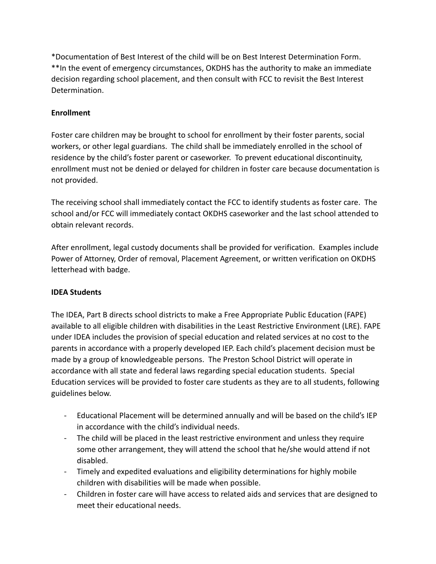\*Documentation of Best Interest of the child will be on Best Interest Determination Form. \*\*In the event of emergency circumstances, OKDHS has the authority to make an immediate decision regarding school placement, and then consult with FCC to revisit the Best Interest Determination.

# **Enrollment**

Foster care children may be brought to school for enrollment by their foster parents, social workers, or other legal guardians. The child shall be immediately enrolled in the school of residence by the child's foster parent or caseworker. To prevent educational discontinuity, enrollment must not be denied or delayed for children in foster care because documentation is not provided.

The receiving school shall immediately contact the FCC to identify students as foster care. The school and/or FCC will immediately contact OKDHS caseworker and the last school attended to obtain relevant records.

After enrollment, legal custody documents shall be provided for verification. Examples include Power of Attorney, Order of removal, Placement Agreement, or written verification on OKDHS letterhead with badge.

#### **IDEA Students**

The IDEA, Part B directs school districts to make a Free Appropriate Public Education (FAPE) available to all eligible children with disabilities in the Least Restrictive Environment (LRE). FAPE under IDEA includes the provision of special education and related services at no cost to the parents in accordance with a properly developed IEP. Each child's placement decision must be made by a group of knowledgeable persons. The Preston School District will operate in accordance with all state and federal laws regarding special education students. Special Education services will be provided to foster care students as they are to all students, following guidelines below.

- Educational Placement will be determined annually and will be based on the child's IEP in accordance with the child's individual needs.
- The child will be placed in the least restrictive environment and unless they require some other arrangement, they will attend the school that he/she would attend if not disabled.
- Timely and expedited evaluations and eligibility determinations for highly mobile children with disabilities will be made when possible.
- Children in foster care will have access to related aids and services that are designed to meet their educational needs.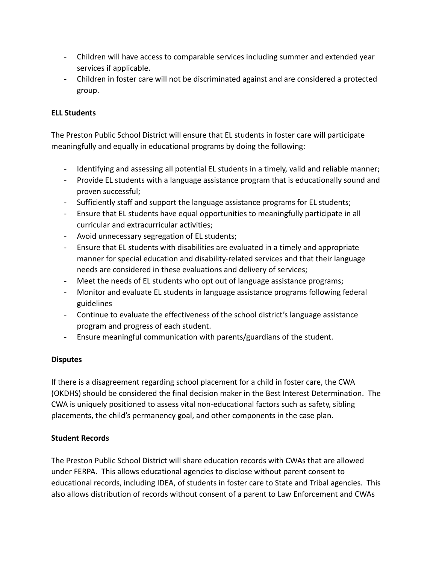- Children will have access to comparable services including summer and extended year services if applicable.
- Children in foster care will not be discriminated against and are considered a protected group.

#### **ELL Students**

The Preston Public School District will ensure that EL students in foster care will participate meaningfully and equally in educational programs by doing the following:

- Identifying and assessing all potential EL students in a timely, valid and reliable manner;
- Provide EL students with a language assistance program that is educationally sound and proven successful;
- Sufficiently staff and support the language assistance programs for EL students;
- Ensure that EL students have equal opportunities to meaningfully participate in all curricular and extracurricular activities;
- Avoid unnecessary segregation of EL students;
- Ensure that EL students with disabilities are evaluated in a timely and appropriate manner for special education and disability-related services and that their language needs are considered in these evaluations and delivery of services;
- Meet the needs of EL students who opt out of language assistance programs;
- Monitor and evaluate EL students in language assistance programs following federal guidelines
- Continue to evaluate the effectiveness of the school district's language assistance program and progress of each student.
- Ensure meaningful communication with parents/guardians of the student.

#### **Disputes**

If there is a disagreement regarding school placement for a child in foster care, the CWA (OKDHS) should be considered the final decision maker in the Best Interest Determination. The CWA is uniquely positioned to assess vital non-educational factors such as safety, sibling placements, the child's permanency goal, and other components in the case plan.

#### **Student Records**

The Preston Public School District will share education records with CWAs that are allowed under FERPA. This allows educational agencies to disclose without parent consent to educational records, including IDEA, of students in foster care to State and Tribal agencies. This also allows distribution of records without consent of a parent to Law Enforcement and CWAs